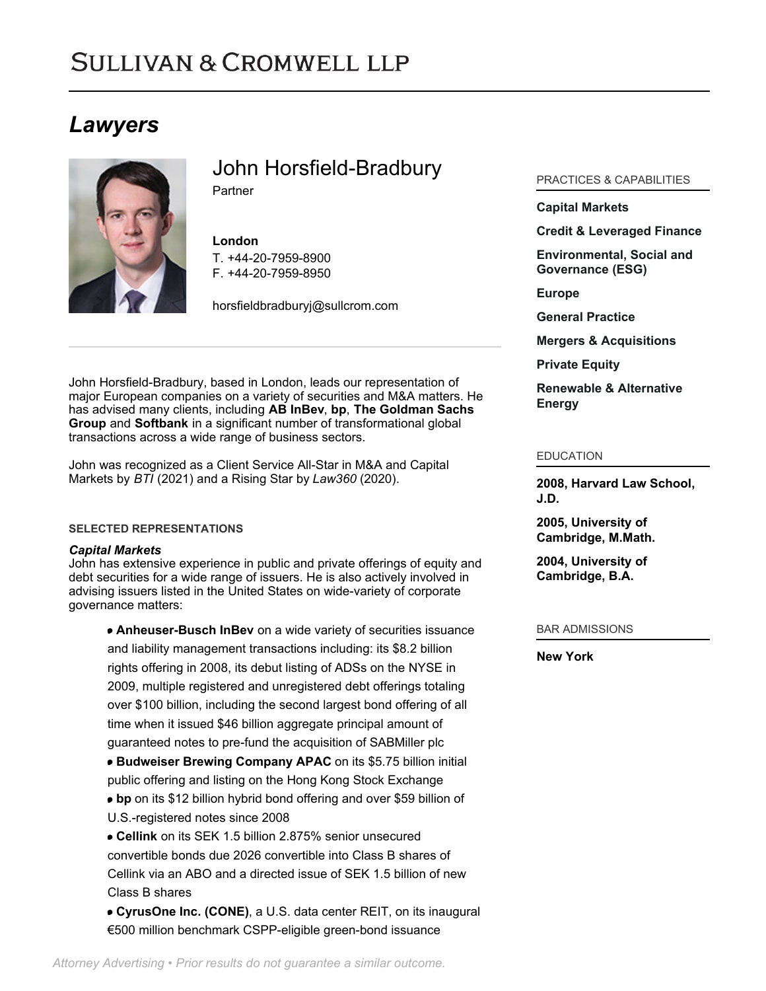# **SULLIVAN & CROMWELL LLP**

## *Lawyers*



John Horsfield-Bradbury

**Partner** 

## **London**

T. [+44-20-7959-8900](tel:+44-20-7959-8900) F. [+44-20-7959-8950](tel:+44-20-7959-8950)

[horsfieldbradburyj@sullcrom.com](https://www.sullcrom.com/email-disclaimer?profsid=lawyers/John-Horsfield-Bradbury)

John Horsfield-Bradbury, based in London, leads our representation of major European companies on a variety of securities and M&A matters. He has advised many clients, including **AB InBev**, **bp**, **The Goldman Sachs Group** and **Softbank** in a significant number of transformational global transactions across a wide range of business sectors.

John was recognized as a Client Service All-Star in M&A and Capital Markets by *BTI* (2021) and a Rising Star by *Law360* (2020).

## **SELECTED REPRESENTATIONS**

## *Capital Markets*

John has extensive experience in public and private offerings of equity and debt securities for a wide range of issuers. He is also actively involved in advising issuers listed in the United States on wide-variety of corporate governance matters:

**Anheuser-Busch InBev** on a wide variety of securities issuance and liability management transactions including: its \$8.2 billion rights offering in 2008, its debut listing of ADSs on the NYSE in 2009, multiple registered and unregistered debt offerings totaling over \$100 billion, including the second largest bond offering of all time when it issued \$46 billion aggregate principal amount of guaranteed notes to pre-fund the acquisition of SABMiller plc

**Budweiser Brewing Company APAC** on its \$5.75 billion initial public offering and listing on the Hong Kong Stock Exchange **bp** on its \$12 billion hybrid bond offering and over \$59 billion of

- U.S.-registered notes since 2008
- **Cellink** on its SEK 1.5 billion 2.875% senior unsecured convertible bonds due 2026 convertible into Class B shares of Cellink via an ABO and a directed issue of SEK 1.5 billion of new Class B shares

**CyrusOne Inc. (CONE)**, a U.S. data center REIT, on its inaugural €500 million benchmark CSPP-eligible green-bond issuance

## PRACTICES & CAPABILITIES

## **[Capital Markets](https://www.sullcrom.com/capital-markets-practice)**

## **[Credit & Leveraged Finance](https://www.sullcrom.com/credit-and-leveraged-finance)**

**[Environmental, Social and](https://www.sullcrom.com/environmental-social-and-governance) [Governance \(ESG\)](https://www.sullcrom.com/environmental-social-and-governance)**

**[Europe](https://www.sullcrom.com/europe)**

**[General Practice](https://www.sullcrom.com/general-practice)**

**[Mergers & Acquisitions](https://www.sullcrom.com/Mergers--Acquisitions-Practices)**

**[Private Equity](https://www.sullcrom.com/Private-Equity-Practices)**

**[Renewable & Alternative](https://www.sullcrom.com/renewable-energy) [Energy](https://www.sullcrom.com/renewable-energy)**

#### EDUCATION

**2008, Harvard Law School, J.D.** 

**2005, University of Cambridge, M.Math.** 

**2004, University of Cambridge, B.A.** 

## BAR ADMISSIONS

**New York**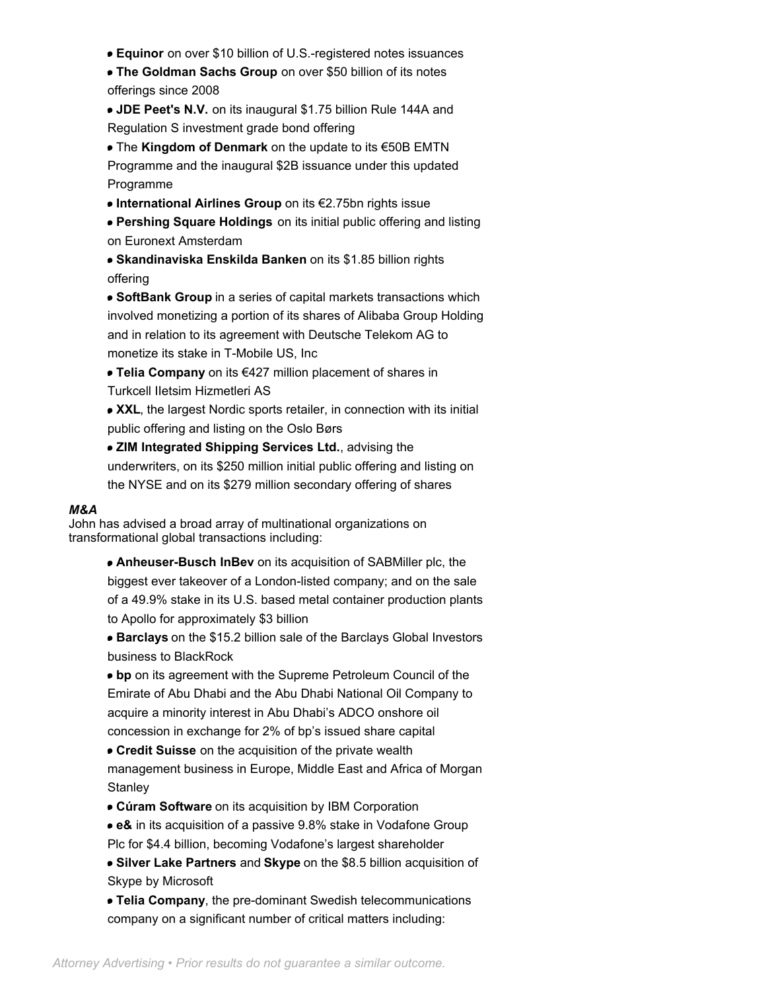- **Equinor** on over \$10 billion of U.S.-registered notes issuances
- **The Goldman Sachs Group** on over \$50 billion of its notes offerings since 2008
- **JDE Peet's N.V.** on its inaugural \$1.75 billion Rule 144A and Regulation S investment grade bond offering

The **Kingdom of Denmark** on the update to its €50B EMTN Programme and the inaugural \$2B issuance under this updated Programme

**International Airlines Group** on its €2.75bn rights issue

**Pershing Square Holdings** on its initial public offering and listing on Euronext Amsterdam

**Skandinaviska Enskilda Banken** on its \$1.85 billion rights offering

**SoftBank Group** in a series of capital markets transactions which involved monetizing a portion of its shares of Alibaba Group Holding and in relation to its agreement with Deutsche Telekom AG to monetize its stake in T-Mobile US, Inc

**Telia Company** on its €427 million placement of shares in Turkcell IIetsim Hizmetleri AS

■ XXL, the largest Nordic sports retailer, in connection with its initial public offering and listing on the Oslo Børs

**ZIM Integrated Shipping Services Ltd.**, advising the underwriters, on its \$250 million initial public offering and listing on the NYSE and on its \$279 million secondary offering of shares

## *M&A*

John has advised a broad array of multinational organizations on transformational global transactions including:

> **Anheuser-Busch InBev** on its acquisition of SABMiller plc, the biggest ever takeover of a London-listed company; and on the sale of a 49.9% stake in its U.S. based metal container production plants to Apollo for approximately \$3 billion

> **Barclays** on the \$15.2 billion sale of the Barclays Global Investors business to BlackRock

**bp** on its agreement with the Supreme Petroleum Council of the Emirate of Abu Dhabi and the Abu Dhabi National Oil Company to acquire a minority interest in Abu Dhabi's ADCO onshore oil concession in exchange for 2% of bp's issued share capital

**Credit Suisse** on the acquisition of the private wealth management business in Europe, Middle East and Africa of Morgan **Stanley** 

**Cúram Software** on its acquisition by IBM Corporation

- **e&** in its acquisition of a passive 9.8% stake in Vodafone Group Plc for \$4.4 billion, becoming Vodafone's largest shareholder
- **Silver Lake Partners** and **Skype** on the \$8.5 billion acquisition of Skype by Microsoft

**Telia Company**, the pre-dominant Swedish telecommunications company on a significant number of critical matters including: